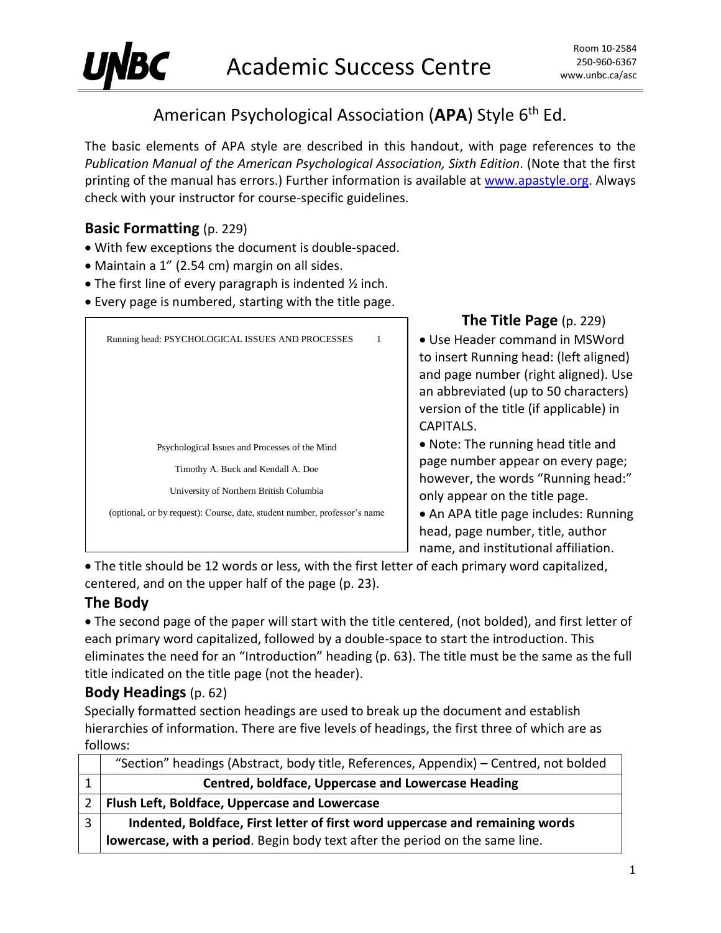

# American Psychological Association (APA) Style 6<sup>th</sup> Ed.

The basic elements of APA style are described in this handout, with page references to the *Publication Manual of the American Psychological Association, Sixth Edition*. (Note that the first printing of the manual has errors.) Further information is available at [www.apastyle.org.](http://www.apastyle.org/) Always check with your instructor for course-specific guidelines.

### **Basic Formatting** (p. 229)

- With few exceptions the document is double-spaced.
- Maintain a 1" (2.54 cm) margin on all sides.
- The first line of every paragraph is indented ½ inch.
- Every page is numbered, starting with the title page.

| Running head: PSYCHOLOGICAL ISSUES AND PROCESSES<br>1                     |  |
|---------------------------------------------------------------------------|--|
|                                                                           |  |
|                                                                           |  |
|                                                                           |  |
| Psychological Issues and Processes of the Mind                            |  |
| Timothy A. Buck and Kendall A. Doe                                        |  |
| University of Northern British Columbia                                   |  |
| (optional, or by request): Course, date, student number, professor's name |  |
|                                                                           |  |

**The Title Page** (p. 229)

 Use Header command in MSWord to insert Running head: (left aligned) and page number (right aligned). Use an abbreviated (up to 50 characters) version of the title (if applicable) in CAPITALS.

 Note: The running head title and page number appear on every page; however, the words "Running head:" only appear on the title page.

• An APA title page includes: Running head, page number, title, author name, and institutional affiliation.

 The title should be 12 words or less, with the first letter of each primary word capitalized, centered, and on the upper half of the page (p. 23).

### **The Body**

 The second page of the paper will start with the title centered, (not bolded), and first letter of each primary word capitalized, followed by a double-space to start the introduction. This eliminates the need for an "Introduction" heading (p. 63). The title must be the same as the full title indicated on the title page (not the header).

### **Body Headings** (p. 62)

Specially formatted section headings are used to break up the document and establish hierarchies of information. There are five levels of headings, the first three of which are as follows:

|               | "Section" headings (Abstract, body title, References, Appendix) - Centred, not bolded |
|---------------|---------------------------------------------------------------------------------------|
|               | <b>Centred, boldface, Uppercase and Lowercase Heading</b>                             |
| $\mathcal{P}$ | <b>Flush Left, Boldface, Uppercase and Lowercase</b>                                  |
| 3             | Indented, Boldface, First letter of first word uppercase and remaining words          |
|               | lowercase, with a period. Begin body text after the period on the same line.          |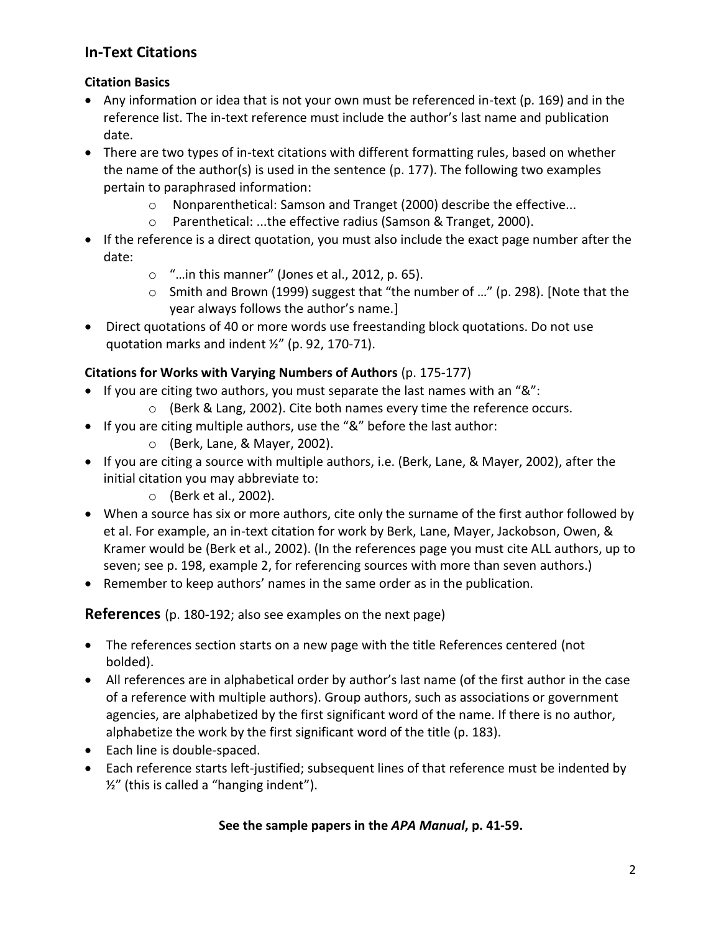# **In-Text Citations**

### **Citation Basics**

- Any information or idea that is not your own must be referenced in-text (p. 169) and in the reference list. The in-text reference must include the author's last name and publication date.
- There are two types of in-text citations with different formatting rules, based on whether the name of the author(s) is used in the sentence (p. 177). The following two examples pertain to paraphrased information:
	- o Nonparenthetical: Samson and Tranget (2000) describe the effective...
	- o Parenthetical: ...the effective radius (Samson & Tranget, 2000).
- If the reference is a direct quotation, you must also include the exact page number after the date:
	- $\circ$  "... in this manner" (Jones et al., 2012, p. 65).
	- o Smith and Brown (1999) suggest that "the number of …" (p. 298). [Note that the year always follows the author's name.]
- Direct quotations of 40 or more words use freestanding block quotations. Do not use quotation marks and indent ½" (p. 92, 170-71).

## **Citations for Works with Varying Numbers of Authors** (p. 175-177)

- If you are citing two authors, you must separate the last names with an " $\&$ ":
	- o (Berk & Lang, 2002). Cite both names every time the reference occurs.
- If you are citing multiple authors, use the "&" before the last author:
	- o (Berk, Lane, & Mayer, 2002).
- If you are citing a source with multiple authors, i.e. (Berk, Lane, & Mayer, 2002), after the initial citation you may abbreviate to:
	- o (Berk et al., 2002).
- When a source has six or more authors, cite only the surname of the first author followed by et al. For example, an in-text citation for work by Berk, Lane, Mayer, Jackobson, Owen, & Kramer would be (Berk et al., 2002). (In the references page you must cite ALL authors, up to seven; see p. 198, example 2, for referencing sources with more than seven authors.)
- Remember to keep authors' names in the same order as in the publication.

**References** (p. 180-192; also see examples on the next page)

- The references section starts on a new page with the title References centered (not bolded).
- All references are in alphabetical order by author's last name (of the first author in the case of a reference with multiple authors). Group authors, such as associations or government agencies, are alphabetized by the first significant word of the name. If there is no author, alphabetize the work by the first significant word of the title (p. 183).
- Each line is double-spaced.
- Each reference starts left-justified; subsequent lines of that reference must be indented by  $\frac{1}{2}$ " (this is called a "hanging indent").

### **See the sample papers in the** *APA Manual***, p. 41-59.**